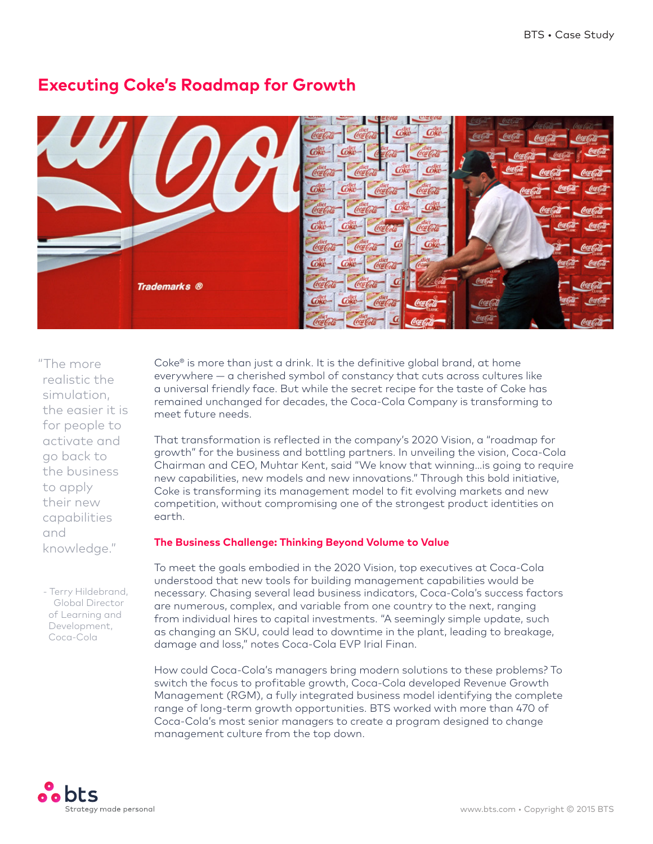

# **Executing Coke's Roadmap for Growth**

"The more realistic the simulation, the easier it is for people to activate and go back to the business to apply their new capabilities and knowledge."

- Terry Hildebrand, Global Director of Learning and Development, Coca-Cola

Coke® is more than just a drink. It is the definitive global brand, at home everywhere — a cherished symbol of constancy that cuts across cultures like a universal friendly face. But while the secret recipe for the taste of Coke has remained unchanged for decades, the Coca-Cola Company is transforming to meet future needs.

That transformation is reflected in the company's 2020 Vision, a "roadmap for growth" for the business and bottling partners. In unveiling the vision, Coca-Cola Chairman and CEO, Muhtar Kent, said "We know that winning…is going to require new capabilities, new models and new innovations." Through this bold initiative, Coke is transforming its management model to fit evolving markets and new competition, without compromising one of the strongest product identities on earth.

## **The Business Challenge: Thinking Beyond Volume to Value**

To meet the goals embodied in the 2020 Vision, top executives at Coca-Cola understood that new tools for building management capabilities would be necessary. Chasing several lead business indicators, Coca-Cola's success factors are numerous, complex, and variable from one country to the next, ranging from individual hires to capital investments. "A seemingly simple update, such as changing an SKU, could lead to downtime in the plant, leading to breakage, damage and loss," notes Coca-Cola EVP Irial Finan.

How could Coca-Cola's managers bring modern solutions to these problems? To switch the focus to profitable growth, Coca-Cola developed Revenue Growth Management (RGM), a fully integrated business model identifying the complete range of long-term growth opportunities. BTS worked with more than 470 of Coca-Cola's most senior managers to create a program designed to change management culture from the top down.